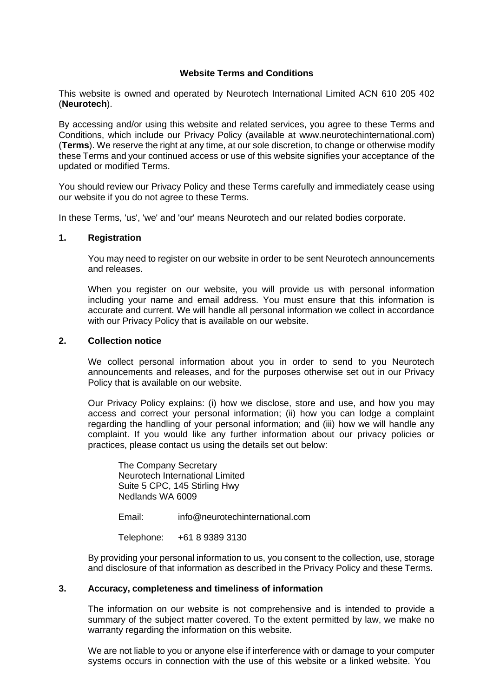# **Website Terms and Conditions**

This website is owned and operated by Neurotech International Limited ACN 610 205 402 (**Neurotech**).

By accessing and/or using this website and related services, you agree to these Terms and Conditions, which include our Privacy Policy (available at www.neurotechinternational.com) (**Terms**). We reserve the right at any time, at our sole discretion, to change or otherwise modify these Terms and your continued access or use of this website signifies your acceptance of the updated or modified Terms.

You should review our Privacy Policy and these Terms carefully and immediately cease using our website if you do not agree to these Terms.

In these Terms, 'us', 'we' and 'our' means Neurotech and our related bodies corporate.

#### **1. Registration**

You may need to register on our website in order to be sent Neurotech announcements and releases.

When you register on our website, you will provide us with personal information including your name and email address. You must ensure that this information is accurate and current. We will handle all personal information we collect in accordance with our Privacy Policy that is available on our website.

#### **2. Collection notice**

We collect personal information about you in order to send to you Neurotech announcements and releases, and for the purposes otherwise set out in our Privacy Policy that is available on our website.

Our Privacy Policy explains: (i) how we disclose, store and use, and how you may access and correct your personal information; (ii) how you can lodge a complaint regarding the handling of your personal information; and (iii) how we will handle any complaint. If you would like any further information about our privacy policies or practices, please contact us using the details set out below:

The Company Secretary Neurotech International Limited Suite 5 CPC, 145 Stirling Hwy Nedlands WA 6009

Email: [info@neurotechinternational.com](mailto:info@neurotechinternational.com)

Telephone: +61 8 9389 3130

By providing your personal information to us, you consent to the collection, use, storage and disclosure of that information as described in the Privacy Policy and these Terms.

#### **3. Accuracy, completeness and timeliness of information**

The information on our website is not comprehensive and is intended to provide a summary of the subject matter covered. To the extent permitted by law, we make no warranty regarding the information on this website.

We are not liable to you or anyone else if interference with or damage to your computer systems occurs in connection with the use of this website or a linked website. You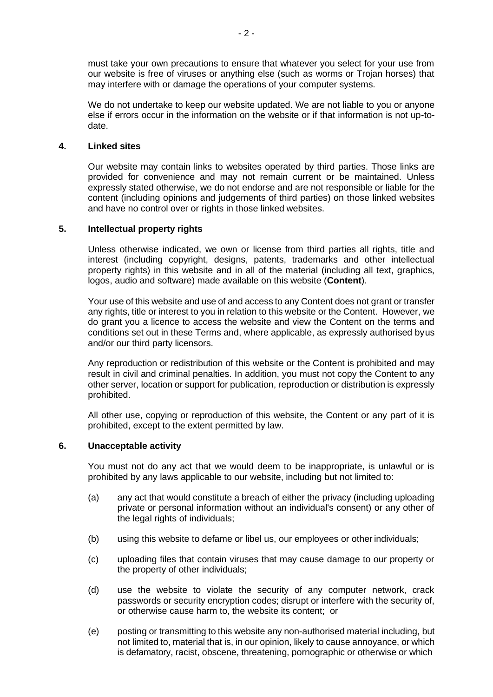must take your own precautions to ensure that whatever you select for your use from our website is free of viruses or anything else (such as worms or Trojan horses) that may interfere with or damage the operations of your computer systems.

We do not undertake to keep our website updated. We are not liable to you or anyone else if errors occur in the information on the website or if that information is not up-todate.

## **4. Linked sites**

Our website may contain links to websites operated by third parties. Those links are provided for convenience and may not remain current or be maintained. Unless expressly stated otherwise, we do not endorse and are not responsible or liable for the content (including opinions and judgements of third parties) on those linked websites and have no control over or rights in those linked websites.

## **5. Intellectual property rights**

Unless otherwise indicated, we own or license from third parties all rights, title and interest (including copyright, designs, patents, trademarks and other intellectual property rights) in this website and in all of the material (including all text, graphics, logos, audio and software) made available on this website (**Content**).

Your use of this website and use of and access to any Content does not grant or transfer any rights, title or interest to you in relation to this website or the Content. However, we do grant you a licence to access the website and view the Content on the terms and conditions set out in these Terms and, where applicable, as expressly authorised byus and/or our third party licensors.

Any reproduction or redistribution of this website or the Content is prohibited and may result in civil and criminal penalties. In addition, you must not copy the Content to any other server, location or support for publication, reproduction or distribution is expressly prohibited.

All other use, copying or reproduction of this website, the Content or any part of it is prohibited, except to the extent permitted by law.

#### **6. Unacceptable activity**

You must not do any act that we would deem to be inappropriate, is unlawful or is prohibited by any laws applicable to our website, including but not limited to:

- (a) any act that would constitute a breach of either the privacy (including uploading private or personal information without an individual's consent) or any other of the legal rights of individuals;
- (b) using this website to defame or libel us, our employees or other individuals;
- (c) uploading files that contain viruses that may cause damage to our property or the property of other individuals;
- (d) use the website to violate the security of any computer network, crack passwords or security encryption codes; disrupt or interfere with the security of, or otherwise cause harm to, the website its content; or
- (e) posting or transmitting to this website any non-authorised material including, but not limited to, material that is, in our opinion, likely to cause annoyance, or which is defamatory, racist, obscene, threatening, pornographic or otherwise or which